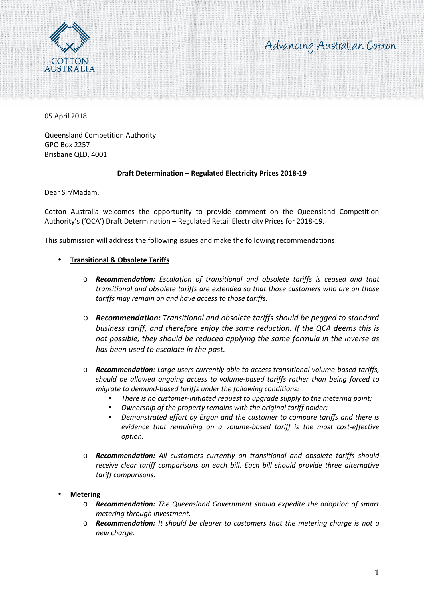



05 April 2018

Queensland Competition Authority GPO Box 2257 Brisbane QLD, 4001

## **Draft Determination – Regulated Electricity Prices 2018-19**

Dear Sir/Madam,

Cotton Australia welcomes the opportunity to provide comment on the Queensland Competition Authority's ('QCA') Draft Determination – Regulated Retail Electricity Prices for 2018-19.

This submission will address the following issues and make the following recommendations:

## **Transitional & Obsolete Tariffs**

- o *Recommendation: Escalation of transitional and obsolete tariffs is ceased and that transitional and obsolete tariffs are extended so that those customers who are on those tariffs may remain on and have access to those tariffs.*
- o *Recommendation: Transitional and obsolete tariffs should be pegged to standard business tariff, and therefore enjoy the same reduction. If the QCA deems this is not possible, they should be reduced applying the same formula in the inverse as has been used to escalate in the past.*
- o *Recommendation: Large users currently able to access transitional volume-based tariffs, should be allowed ongoing access to volume-based tariffs rather than being forced to migrate to demand-based tariffs under the following conditions:*
	- *There is no customer-initiated request to upgrade supply to the metering point;*
	- *Ownership of the property remains with the original tariff holder;*
	- *Demonstrated effort by Ergon and the customer to compare tariffs and there is evidence that remaining on a volume-based tariff is the most cost-effective option.*
- o *Recommendation: All customers currently on transitional and obsolete tariffs should receive clear tariff comparisons on each bill. Each bill should provide three alternative tariff comparisons.*

# **Metering**

- o *Recommendation: The Queensland Government should expedite the adoption of smart metering through investment.*
- o *Recommendation: It should be clearer to customers that the metering charge is not a new charge.*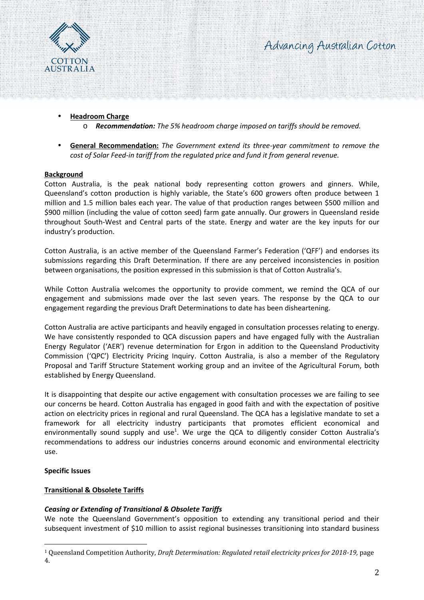

# Advancing Australian Cotton

## **Headroom Charge**

o *Recommendation: The 5% headroom charge imposed on tariffs should be removed.*

 **General Recommendation:** *The Government extend its three-year commitment to remove the cost of Solar Feed-in tariff from the regulated price and fund it from general revenue.*

## **Background**

Cotton Australia, is the peak national body representing cotton growers and ginners. While, Queensland's cotton production is highly variable, the State's 600 growers often produce between 1 million and 1.5 million bales each year. The value of that production ranges between \$500 million and \$900 million (including the value of cotton seed) farm gate annually. Our growers in Queensland reside throughout South-West and Central parts of the state. Energy and water are the key inputs for our industry's production.

Cotton Australia, is an active member of the Queensland Farmer's Federation ('QFF') and endorses its submissions regarding this Draft Determination. If there are any perceived inconsistencies in position between organisations, the position expressed in this submission is that of Cotton Australia's.

While Cotton Australia welcomes the opportunity to provide comment, we remind the QCA of our engagement and submissions made over the last seven years. The response by the QCA to our engagement regarding the previous Draft Determinations to date has been disheartening.

Cotton Australia are active participants and heavily engaged in consultation processes relating to energy. We have consistently responded to QCA discussion papers and have engaged fully with the Australian Energy Regulator ('AER') revenue determination for Ergon in addition to the Queensland Productivity Commission ('QPC') Electricity Pricing Inquiry. Cotton Australia, is also a member of the Regulatory Proposal and Tariff Structure Statement working group and an invitee of the Agricultural Forum, both established by Energy Queensland.

It is disappointing that despite our active engagement with consultation processes we are failing to see our concerns be heard. Cotton Australia has engaged in good faith and with the expectation of positive action on electricity prices in regional and rural Queensland. The QCA has a legislative mandate to set a framework for all electricity industry participants that promotes efficient economical and environmentally sound supply and use<sup>1</sup>. We urge the QCA to diligently consider Cotton Australia's recommendations to address our industries concerns around economic and environmental electricity use.

## **Specific Issues**

# **Transitional & Obsolete Tariffs**

# *Ceasing or Extending of Transitional & Obsolete Tariffs*

We note the Queensland Government's opposition to extending any transitional period and their subsequent investment of \$10 million to assist regional businesses transitioning into standard business

<sup>1</sup> Queensland Competition Authority, *Draft Determination: Regulated retail electricity prices for 2018-19,* page 4.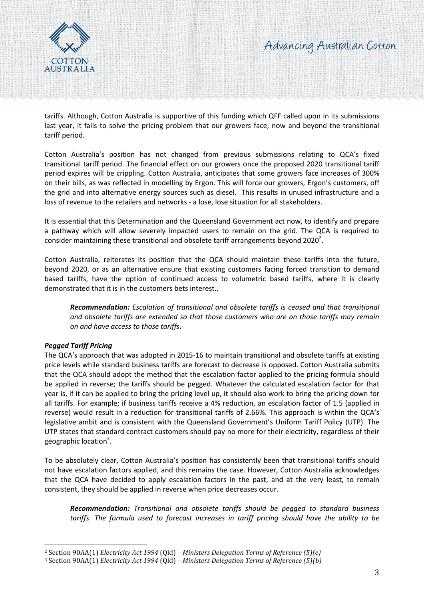

tariffs. Although, Cotton Australia is supportive of this funding which QFF called upon in its submissions last year, it fails to solve the pricing problem that our growers face, now and beyond the transitional tariff period.

Cotton Australia's position has not changed from previous submissions relating to QCA's fixed transitional tariff period. The financial effect on our growers once the proposed 2020 transitional tariff period expires will be crippling. Cotton Australia, anticipates that some growers face increases of 300% on their bills, as was reflected in modelling by Ergon. This will force our growers, Ergon's customers, off the grid and into alternative energy sources such as diesel. This results in unused infrastructure and a loss of revenue to the retailers and networks - a lose, lose situation for all stakeholders.

It is essential that this Determination and the Queensland Government act now, to identify and prepare a pathway which will allow severely impacted users to remain on the grid. The QCA is required to consider maintaining these transitional and obsolete tariff arrangements beyond 2020<sup>2</sup>.

Cotton Australia, reiterates its position that the QCA should maintain these tariffs into the future, beyond 2020, or as an alternative ensure that existing customers facing forced transition to demand based tariffs, have the option of continued access to volumetric based tariffs, where it is clearly demonstrated that it is in the customers bets interest..

*Recommendation: Escalation of transitional and obsolete tariffs is ceased and that transitional and obsolete tariffs are extended so that those customers who are on those tariffs may remain on and have access to those tariffs.*

# *Pegged Tariff Pricing*

The QCA's approach that was adopted in 2015-16 to maintain transitional and obsolete tariffs at existing price levels while standard business tariffs are forecast to decrease is opposed. Cotton Australia submits that the QCA should adopt the method that the escalation factor applied to the pricing formula should be applied in reverse; the tariffs should be pegged. Whatever the calculated escalation factor for that year is, if it can be applied to bring the pricing level up, it should also work to bring the pricing down for all tariffs. For example; if business tariffs receive a 4% reduction, an escalation factor of 1.5 (applied in reverse) would result in a reduction for transitional tariffs of 2.66%. This approach is within the QCA's legislative ambit and is consistent with the Queensland Government's Uniform Tariff Policy (UTP). The UTP states that standard contract customers should pay no more for their electricity, regardless of their geographic location<sup>3</sup>.

To be absolutely clear, Cotton Australia's position has consistently been that transitional tariffs should not have escalation factors applied, and this remains the case. However, Cotton Australia acknowledges that the QCA have decided to apply escalation factors in the past, and at the very least, to remain consistent, they should be applied in reverse when price decreases occur.

*Recommendation: Transitional and obsolete tariffs should be pegged to standard business tariffs. The formula used to forecast increases in tariff pricing should have the ability to be*

<sup>2</sup> Section 90AA(1) *Electricity Act 1994* (Qld) – *Ministers Delegation Terms of Reference (5)(e)*

<sup>3</sup> Section 90AA(1) *Electricity Act 1994* (Qld) – *Ministers Delegation Terms of Reference (5)(b)*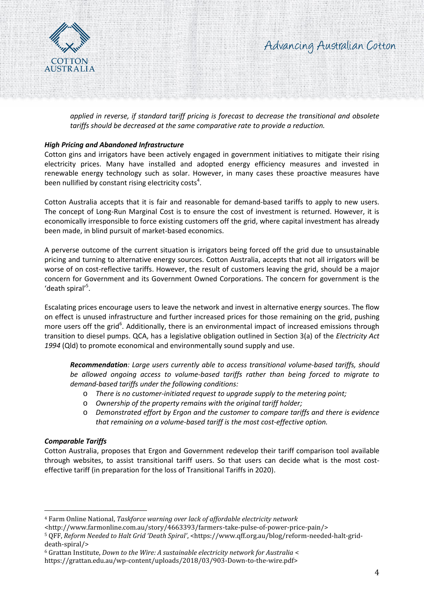

*applied in reverse, if standard tariff pricing is forecast to decrease the transitional and obsolete tariffs should be decreased at the same comparative rate to provide a reduction.*

## *High Pricing and Abandoned Infrastructure*

Cotton gins and irrigators have been actively engaged in government initiatives to mitigate their rising electricity prices. Many have installed and adopted energy efficiency measures and invested in renewable energy technology such as solar. However, in many cases these proactive measures have been nullified by constant rising electricity costs<sup>4</sup>.

Cotton Australia accepts that it is fair and reasonable for demand-based tariffs to apply to new users. The concept of Long-Run Marginal Cost is to ensure the cost of investment is returned. However, it is economically irresponsible to force existing customers off the grid, where capital investment has already been made, in blind pursuit of market-based economics.

A perverse outcome of the current situation is irrigators being forced off the grid due to unsustainable pricing and turning to alternative energy sources. Cotton Australia, accepts that not all irrigators will be worse of on cost-reflective tariffs. However, the result of customers leaving the grid, should be a major concern for Government and its Government Owned Corporations. The concern for government is the 'death spiral'<sup>5</sup>.

Escalating prices encourage users to leave the network and invest in alternative energy sources. The flow on effect is unused infrastructure and further increased prices for those remaining on the grid, pushing more users off the grid<sup>6</sup>. Additionally, there is an environmental impact of increased emissions through transition to diesel pumps. QCA, has a legislative obligation outlined in Section 3(a) of the *Electricity Act 1994* (Qld) to promote economical and environmentally sound supply and use.

*Recommendation: Large users currently able to access transitional volume-based tariffs, should be allowed ongoing access to volume-based tariffs rather than being forced to migrate to demand-based tariffs under the following conditions:*

- o *There is no customer-initiated request to upgrade supply to the metering point;*
- o *Ownership of the property remains with the original tariff holder;*
- o *Demonstrated effort by Ergon and the customer to compare tariffs and there is evidence that remaining on a volume-based tariff is the most cost-effective option.*

## *Comparable Tariffs*

Cotton Australia, proposes that Ergon and Government redevelop their tariff comparison tool available through websites, to assist transitional tariff users. So that users can decide what is the most cost effective tariff (in preparation for the loss of Transitional Tariffs in 2020).

<sup>4</sup> Farm Online National, *Taskforce warning over lack of affordable electricity network*

<sup>&</sup>lt;http://www.farmonline.com.au/story/4663393/farmers-take-pulse-of-power-price-pain/>

<sup>5</sup> QFF, *Reform Needed to Halt Grid 'Death Spiral'*, <https://www.qff.org.au/blog/reform-needed-halt-grid death-spiral/>

<sup>6</sup> Grattan Institute, *Down to the Wire: A sustainable electricity network for Australia* <

https://grattan.edu.au/wp-content/uploads/2018/03/903-Down-to-the-wire.pdf>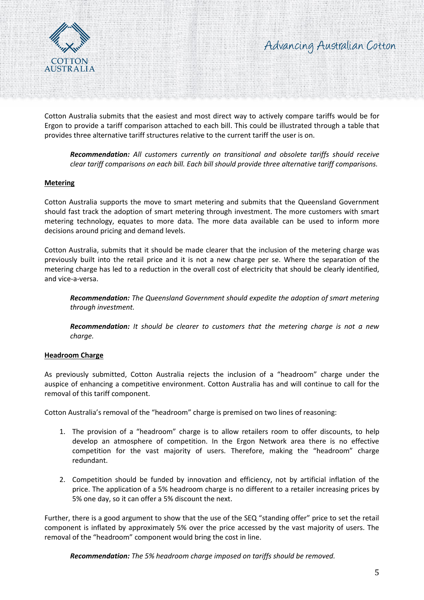



Cotton Australia submits that the easiest and most direct way to actively compare tariffs would be for Ergon to provide a tariff comparison attached to each bill. This could be illustrated through a table that provides three alternative tariff structures relative to the current tariff the user is on.

*Recommendation: All customers currently on transitional and obsolete tariffs should receive clear tariff comparisons on each bill. Each bill should provide three alternative tariff comparisons.*

#### **Metering**

Cotton Australia supports the move to smart metering and submits that the Queensland Government should fast track the adoption of smart metering through investment. The more customers with smart metering technology, equates to more data. The more data available can be used to inform more decisions around pricing and demand levels.

Cotton Australia, submits that it should be made clearer that the inclusion of the metering charge was previously built into the retail price and it is not a new charge per se. Where the separation of the metering charge has led to a reduction in the overall cost of electricity that should be clearly identified, and vice-a-versa.

*Recommendation: The Queensland Government should expedite the adoption of smart metering through investment.*

*Recommendation: It should be clearer to customers that the metering charge is not a new charge.*

## **Headroom Charge**

As previously submitted, Cotton Australia rejects the inclusion of a "headroom" charge under the auspice of enhancing a competitive environment. Cotton Australia has and will continue to call for the removal of this tariff component.

Cotton Australia's removal of the "headroom" charge is premised on two lines of reasoning:

- 1. The provision of a "headroom" charge is to allow retailers room to offer discounts, to help develop an atmosphere of competition. In the Ergon Network area there is no effective competition for the vast majority of users. Therefore, making the "headroom" charge redundant.
- 2. Competition should be funded by innovation and efficiency, not by artificial inflation of the price. The application of a 5% headroom charge is no different to a retailer increasing prices by 5% one day, so it can offer a 5% discount the next.

Further, there is a good argument to show that the use of the SEQ "standing offer" price to set the retail component is inflated by approximately 5% over the price accessed by the vast majority of users. The removal of the "headroom" component would bring the cost in line.

*Recommendation: The 5% headroom charge imposed on tariffs should be removed.*